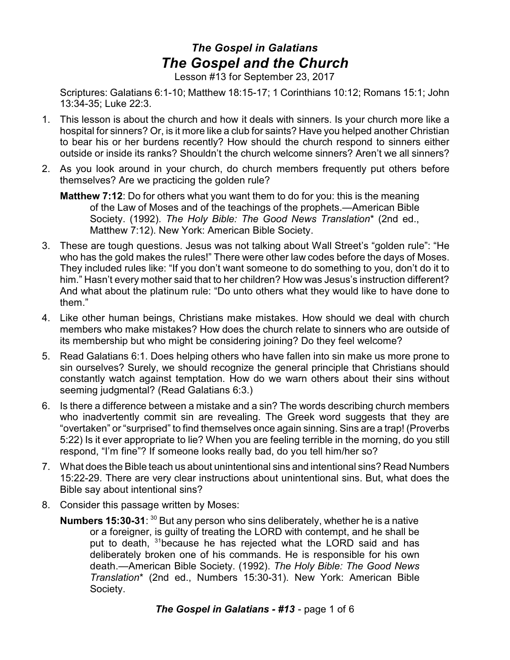## *The Gospel in Galatians The Gospel and the Church*

Lesson #13 for September 23, 2017

Scriptures: Galatians 6:1-10; Matthew 18:15-17; 1 Corinthians 10:12; Romans 15:1; John 13:34-35; Luke 22:3.

- 1. This lesson is about the church and how it deals with sinners. Is your church more like a hospital for sinners? Or, is it more like a club for saints? Have you helped another Christian to bear his or her burdens recently? How should the church respond to sinners either outside or inside its ranks? Shouldn't the church welcome sinners? Aren't we all sinners?
- 2. As you look around in your church, do church members frequently put others before themselves? Are we practicing the golden rule?
	- **Matthew 7:12**: Do for others what you want them to do for you: this is the meaning of the Law of Moses and of the teachings of the prophets.—American Bible Society. (1992). *The Holy Bible: The Good News Translation*\* (2nd ed., Matthew 7:12). New York: American Bible Society.
- 3. These are tough questions. Jesus was not talking about Wall Street's "golden rule": "He who has the gold makes the rules!" There were other law codes before the days of Moses. They included rules like: "If you don't want someone to do something to you, don't do it to him." Hasn't every mother said that to her children? How was Jesus's instruction different? And what about the platinum rule: "Do unto others what they would like to have done to them."
- 4. Like other human beings, Christians make mistakes. How should we deal with church members who make mistakes? How does the church relate to sinners who are outside of its membership but who might be considering joining? Do they feel welcome?
- 5. Read Galatians 6:1. Does helping others who have fallen into sin make us more prone to sin ourselves? Surely, we should recognize the general principle that Christians should constantly watch against temptation. How do we warn others about their sins without seeming judgmental? (Read Galatians 6:3.)
- 6. Is there a difference between a mistake and a sin? The words describing church members who inadvertently commit sin are revealing. The Greek word suggests that they are "overtaken" or "surprised" to find themselves once again sinning. Sins are a trap! (Proverbs 5:22) Is it ever appropriate to lie? When you are feeling terrible in the morning, do you still respond, "I'm fine"? If someone looks really bad, do you tell him/her so?
- 7. What does the Bible teach us about unintentional sins and intentional sins? Read Numbers 15:22-29. There are very clear instructions about unintentional sins. But, what does the Bible say about intentional sins?
- 8. Consider this passage written by Moses:
	- **Numbers 15:30-31**: <sup>30</sup> But any person who sins deliberately, whether he is a native or a foreigner, is guilty of treating the LORD with contempt, and he shall be put to death, <sup>31</sup>because he has rejected what the LORD said and has deliberately broken one of his commands. He is responsible for his own death.—American Bible Society. (1992). *The Holy Bible: The Good News Translation*\* (2nd ed., Numbers 15:30-31). New York: American Bible Society.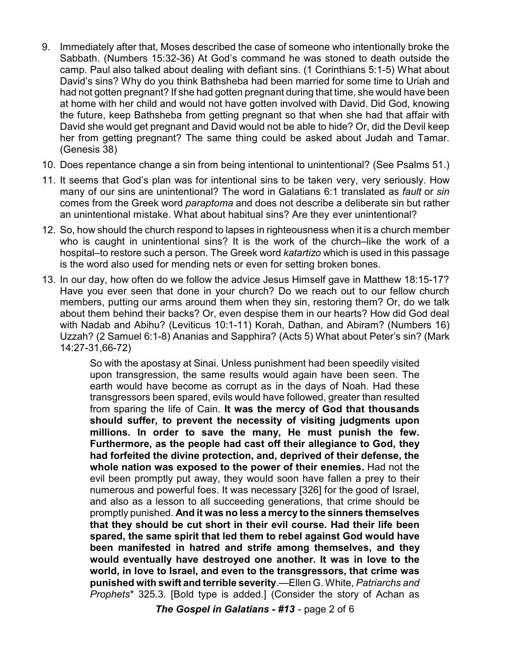- 9. Immediately after that, Moses described the case of someone who intentionally broke the Sabbath. (Numbers 15:32-36) At God's command he was stoned to death outside the camp. Paul also talked about dealing with defiant sins. (1 Corinthians 5:1-5) What about David's sins? Why do you think Bathsheba had been married for some time to Uriah and had not gotten pregnant? If she had gotten pregnant during that time, she would have been at home with her child and would not have gotten involved with David. Did God, knowing the future, keep Bathsheba from getting pregnant so that when she had that affair with David she would get pregnant and David would not be able to hide? Or, did the Devil keep her from getting pregnant? The same thing could be asked about Judah and Tamar. (Genesis 38)
- 10. Does repentance change a sin from being intentional to unintentional? (See Psalms 51.)
- 11. It seems that God's plan was for intentional sins to be taken very, very seriously. How many of our sins are unintentional? The word in Galatians 6:1 translated as *fault* or *sin* comes from the Greek word *paraptoma* and does not describe a deliberate sin but rather an unintentional mistake. What about habitual sins? Are they ever unintentional?
- 12. So, how should the church respond to lapses in righteousness when it is a church member who is caught in unintentional sins? It is the work of the church–like the work of a hospital–to restore such a person. The Greek word *katartizo* which is used in this passage is the word also used for mending nets or even for setting broken bones.
- 13. In our day, how often do we follow the advice Jesus Himself gave in Matthew 18:15-17? Have you ever seen that done in your church? Do we reach out to our fellow church members, putting our arms around them when they sin, restoring them? Or, do we talk about them behind their backs? Or, even despise them in our hearts? How did God deal with Nadab and Abihu? (Leviticus 10:1-11) Korah, Dathan, and Abiram? (Numbers 16) Uzzah? (2 Samuel 6:1-8) Ananias and Sapphira? (Acts 5) What about Peter's sin? (Mark 14:27-31,66-72)

So with the apostasy at Sinai. Unless punishment had been speedily visited upon transgression, the same results would again have been seen. The earth would have become as corrupt as in the days of Noah. Had these transgressors been spared, evils would have followed, greater than resulted from sparing the life of Cain. **It was the mercy of God that thousands should suffer, to prevent the necessity of visiting judgments upon millions. In order to save the many, He must punish the few. Furthermore, as the people had cast off their allegiance to God, they had forfeited the divine protection, and, deprived of their defense, the whole nation was exposed to the power of their enemies.** Had not the evil been promptly put away, they would soon have fallen a prey to their numerous and powerful foes. It was necessary [326] for the good of Israel, and also as a lesson to all succeeding generations, that crime should be promptly punished. **And it was no less a mercy to the sinners themselves that they should be cut short in their evil course. Had their life been spared, the same spirit that led them to rebel against God would have been manifested in hatred and strife among themselves, and they would eventually have destroyed one another. It was in love to the world, in love to Israel, and even to the transgressors, that crime was punished with swift and terrible severity**.—Ellen G. White, *Patriarchs and Prophets*\* 325.3. [Bold type is added.] (Consider the story of Achan as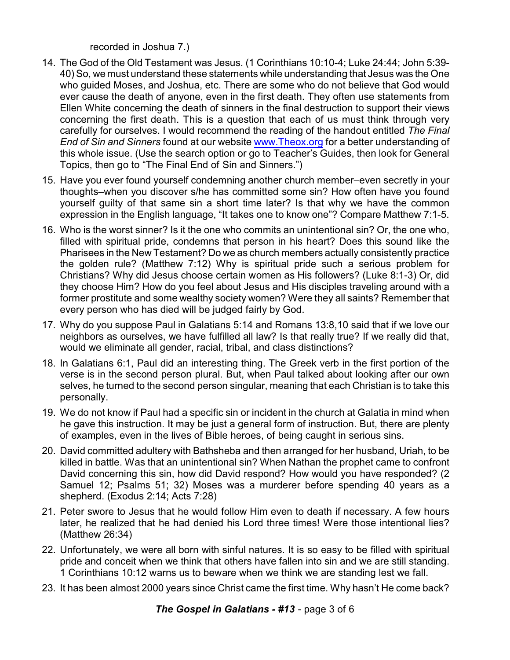recorded in Joshua 7.)

- 14. The God of the Old Testament was Jesus. (1 Corinthians 10:10-4; Luke 24:44; John 5:39- 40) So, we must understand these statements while understanding that Jesus was the One who guided Moses, and Joshua, etc. There are some who do not believe that God would ever cause the death of anyone, even in the first death. They often use statements from Ellen White concerning the death of sinners in the final destruction to support their views concerning the first death. This is a question that each of us must think through very carefully for ourselves. I would recommend the reading of the handout entitled *The Final End of Sin and Sinners* found at our website [www.Theox.org](http://www.Theox.org) for a better understanding of this whole issue. (Use the search option or go to Teacher's Guides, then look for General Topics, then go to "The Final End of Sin and Sinners.")
- 15. Have you ever found yourself condemning another church member–even secretly in your thoughts–when you discover s/he has committed some sin? How often have you found yourself guilty of that same sin a short time later? Is that why we have the common expression in the English language, "It takes one to know one"? Compare Matthew 7:1-5.
- 16. Who is the worst sinner? Is it the one who commits an unintentional sin? Or, the one who, filled with spiritual pride, condemns that person in his heart? Does this sound like the Pharisees in the New Testament? Do we as church members actually consistently practice the golden rule? (Matthew 7:12) Why is spiritual pride such a serious problem for Christians? Why did Jesus choose certain women as His followers? (Luke 8:1-3) Or, did they choose Him? How do you feel about Jesus and His disciples traveling around with a former prostitute and some wealthy society women? Were they all saints? Remember that every person who has died will be judged fairly by God.
- 17. Why do you suppose Paul in Galatians 5:14 and Romans 13:8,10 said that if we love our neighbors as ourselves, we have fulfilled all law? Is that really true? If we really did that, would we eliminate all gender, racial, tribal, and class distinctions?
- 18. In Galatians 6:1, Paul did an interesting thing. The Greek verb in the first portion of the verse is in the second person plural. But, when Paul talked about looking after our own selves, he turned to the second person singular, meaning that each Christian is to take this personally.
- 19. We do not know if Paul had a specific sin or incident in the church at Galatia in mind when he gave this instruction. It may be just a general form of instruction. But, there are plenty of examples, even in the lives of Bible heroes, of being caught in serious sins.
- 20. David committed adultery with Bathsheba and then arranged for her husband, Uriah, to be killed in battle. Was that an unintentional sin? When Nathan the prophet came to confront David concerning this sin, how did David respond? How would you have responded? (2 Samuel 12; Psalms 51; 32) Moses was a murderer before spending 40 years as a shepherd. (Exodus 2:14; Acts 7:28)
- 21. Peter swore to Jesus that he would follow Him even to death if necessary. A few hours later, he realized that he had denied his Lord three times! Were those intentional lies? (Matthew 26:34)
- 22. Unfortunately, we were all born with sinful natures. It is so easy to be filled with spiritual pride and conceit when we think that others have fallen into sin and we are still standing. 1 Corinthians 10:12 warns us to beware when we think we are standing lest we fall.
- 23. It has been almost 2000 years since Christ came the first time. Why hasn't He come back?

*The Gospel in Galatians - #13* - page 3 of 6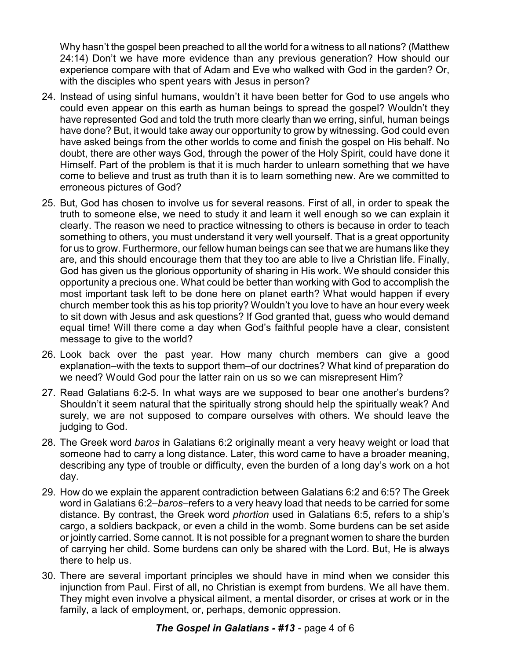Why hasn't the gospel been preached to all the world for a witness to all nations? (Matthew 24:14) Don't we have more evidence than any previous generation? How should our experience compare with that of Adam and Eve who walked with God in the garden? Or, with the disciples who spent years with Jesus in person?

- 24. Instead of using sinful humans, wouldn't it have been better for God to use angels who could even appear on this earth as human beings to spread the gospel? Wouldn't they have represented God and told the truth more clearly than we erring, sinful, human beings have done? But, it would take away our opportunity to grow by witnessing. God could even have asked beings from the other worlds to come and finish the gospel on His behalf. No doubt, there are other ways God, through the power of the Holy Spirit, could have done it Himself. Part of the problem is that it is much harder to unlearn something that we have come to believe and trust as truth than it is to learn something new. Are we committed to erroneous pictures of God?
- 25. But, God has chosen to involve us for several reasons. First of all, in order to speak the truth to someone else, we need to study it and learn it well enough so we can explain it clearly. The reason we need to practice witnessing to others is because in order to teach something to others, you must understand it very well yourself. That is a great opportunity for us to grow. Furthermore, our fellow human beings can see that we are humans like they are, and this should encourage them that they too are able to live a Christian life. Finally, God has given us the glorious opportunity of sharing in His work. We should consider this opportunity a precious one. What could be better than working with God to accomplish the most important task left to be done here on planet earth? What would happen if every church member took this as his top priority? Wouldn't you love to have an hour every week to sit down with Jesus and ask questions? If God granted that, guess who would demand equal time! Will there come a day when God's faithful people have a clear, consistent message to give to the world?
- 26. Look back over the past year. How many church members can give a good explanation–with the texts to support them–of our doctrines? What kind of preparation do we need? Would God pour the latter rain on us so we can misrepresent Him?
- 27. Read Galatians 6:2-5. In what ways are we supposed to bear one another's burdens? Shouldn't it seem natural that the spiritually strong should help the spiritually weak? And surely, we are not supposed to compare ourselves with others. We should leave the judging to God.
- 28. The Greek word *baros* in Galatians 6:2 originally meant a very heavy weight or load that someone had to carry a long distance. Later, this word came to have a broader meaning, describing any type of trouble or difficulty, even the burden of a long day's work on a hot day.
- 29. How do we explain the apparent contradiction between Galatians 6:2 and 6:5? The Greek word in Galatians 6:2–*baros*–refers to a very heavy load that needs to be carried for some distance. By contrast, the Greek word *phortion* used in Galatians 6:5, refers to a ship's cargo, a soldiers backpack, or even a child in the womb. Some burdens can be set aside or jointly carried. Some cannot. It is not possible for a pregnant women to share the burden of carrying her child. Some burdens can only be shared with the Lord. But, He is always there to help us.
- 30. There are several important principles we should have in mind when we consider this injunction from Paul. First of all, no Christian is exempt from burdens. We all have them. They might even involve a physical ailment, a mental disorder, or crises at work or in the family, a lack of employment, or, perhaps, demonic oppression.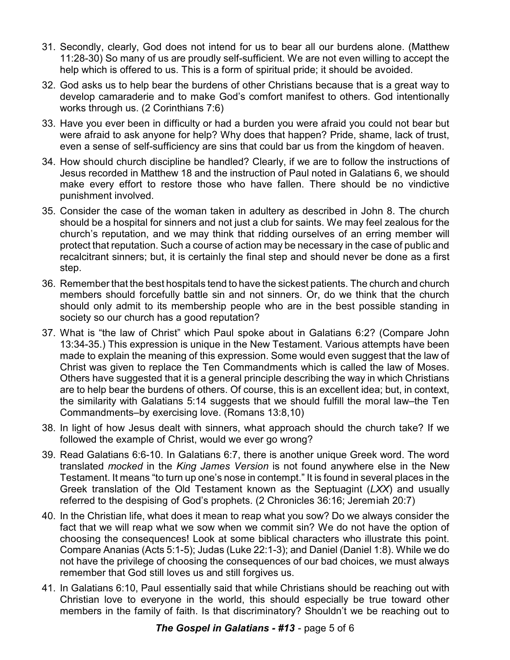- 31. Secondly, clearly, God does not intend for us to bear all our burdens alone. (Matthew 11:28-30) So many of us are proudly self-sufficient. We are not even willing to accept the help which is offered to us. This is a form of spiritual pride; it should be avoided.
- 32. God asks us to help bear the burdens of other Christians because that is a great way to develop camaraderie and to make God's comfort manifest to others. God intentionally works through us. (2 Corinthians 7:6)
- 33. Have you ever been in difficulty or had a burden you were afraid you could not bear but were afraid to ask anyone for help? Why does that happen? Pride, shame, lack of trust, even a sense of self-sufficiency are sins that could bar us from the kingdom of heaven.
- 34. How should church discipline be handled? Clearly, if we are to follow the instructions of Jesus recorded in Matthew 18 and the instruction of Paul noted in Galatians 6, we should make every effort to restore those who have fallen. There should be no vindictive punishment involved.
- 35. Consider the case of the woman taken in adultery as described in John 8. The church should be a hospital for sinners and not just a club for saints. We may feel zealous for the church's reputation, and we may think that ridding ourselves of an erring member will protect that reputation. Such a course of action may be necessary in the case of public and recalcitrant sinners; but, it is certainly the final step and should never be done as a first step.
- 36. Remember that the best hospitals tend to have the sickest patients. The church and church members should forcefully battle sin and not sinners. Or, do we think that the church should only admit to its membership people who are in the best possible standing in society so our church has a good reputation?
- 37. What is "the law of Christ" which Paul spoke about in Galatians 6:2? (Compare John 13:34-35.) This expression is unique in the New Testament. Various attempts have been made to explain the meaning of this expression. Some would even suggest that the law of Christ was given to replace the Ten Commandments which is called the law of Moses. Others have suggested that it is a general principle describing the way in which Christians are to help bear the burdens of others. Of course, this is an excellent idea; but, in context, the similarity with Galatians 5:14 suggests that we should fulfill the moral law–the Ten Commandments–by exercising love. (Romans 13:8,10)
- 38. In light of how Jesus dealt with sinners, what approach should the church take? If we followed the example of Christ, would we ever go wrong?
- 39. Read Galatians 6:6-10. In Galatians 6:7, there is another unique Greek word. The word translated *mocked* in the *King James Version* is not found anywhere else in the New Testament. It means "to turn up one's nose in contempt." It is found in several places in the Greek translation of the Old Testament known as the Septuagint (*LXX*) and usually referred to the despising of God's prophets. (2 Chronicles 36:16; Jeremiah 20:7)
- 40. In the Christian life, what does it mean to reap what you sow? Do we always consider the fact that we will reap what we sow when we commit sin? We do not have the option of choosing the consequences! Look at some biblical characters who illustrate this point. Compare Ananias (Acts 5:1-5); Judas (Luke 22:1-3); and Daniel (Daniel 1:8). While we do not have the privilege of choosing the consequences of our bad choices, we must always remember that God still loves us and still forgives us.
- 41. In Galatians 6:10, Paul essentially said that while Christians should be reaching out with Christian love to everyone in the world, this should especially be true toward other members in the family of faith. Is that discriminatory? Shouldn't we be reaching out to